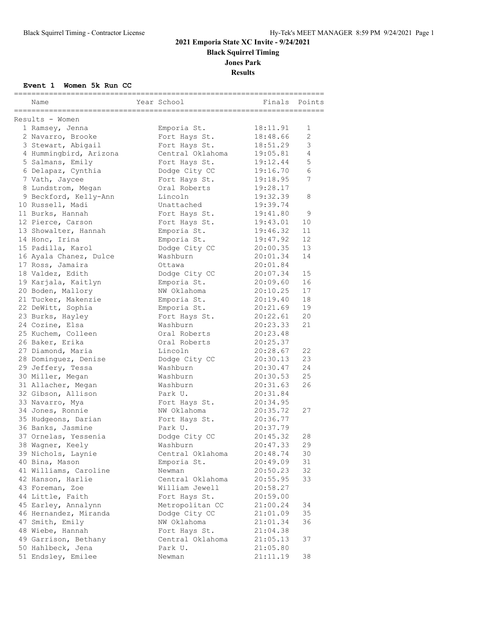## **2021 Emporia State XC Invite - 9/24/2021 Black Squirrel Timing Jones Park**

**Results**

### **Event 1 Women 5k Run CC**

| Name                                 | Year School                        | --------------------------- | Finals | Points         |
|--------------------------------------|------------------------------------|-----------------------------|--------|----------------|
| Results - Women                      |                                    |                             |        |                |
| 1 Ramsey, Jenna                      | Emporia St.                        | 18:11.91                    |        | 1              |
| 2 Navarro, Brooke                    | Fort Hays St.                      | 18:48.66                    |        | $\overline{2}$ |
| 3 Stewart, Abigail                   | Fort Hays St.                      | 18:51.29                    |        | 3              |
| 4 Hummingbird, Arizona               | Central Oklahoma                   | 19:05.81                    |        | 4              |
| 5 Salmans, Emily                     | Fort Hays St.                      | 19:12.44                    |        | 5              |
| 6 Delapaz, Cynthia                   | Dodge City CC                      | 19:16.70                    |        | 6              |
| 7 Vath, Jaycee                       | Fort Hays St.                      | 19:18.95                    |        | 7              |
| 8 Lundstrom, Megan                   | Oral Roberts                       | 19:28.17                    |        |                |
| 9 Beckford, Kelly-Ann                | Lincoln                            | 19:32.39                    |        | 8              |
| 10 Russell, Madi                     | Unattached                         | 19:39.74                    |        |                |
| 11 Burks, Hannah                     | Fort Hays St.                      | 19:41.80                    |        | 9              |
| 12 Pierce, Carson                    | Fort Hays St.                      | 19:43.01                    |        | 10             |
| 13 Showalter, Hannah                 | Emporia St.                        | 19:46.32                    |        | 11             |
| 14 Honc, Irina                       | Emporia St.                        | 19:47.92                    |        | 12             |
| 15 Padilla, Karol                    | Dodge City CC                      | 20:00.35                    |        | 13             |
| 16 Ayala Chanez, Dulce               | Washburn                           | 20:01.34                    |        | 14             |
| 17 Ross, Jamaira                     | Ottawa                             | 20:01.84                    |        |                |
| 18 Valdez, Edith                     | Dodge City CC                      | 20:07.34                    |        | 15             |
| 19 Karjala, Kaitlyn                  | Emporia St.                        | 20:09.60                    |        | 16             |
| 20 Boden, Mallory                    | NW Oklahoma                        | 20:10.25                    |        | 17             |
| 21 Tucker, Makenzie                  | Emporia St.                        | 20:19.40                    |        | 18             |
| 22 DeWitt, Sophia                    | Emporia St.                        | 20:21.69                    |        | 19             |
| 23 Burks, Hayley                     | Fort Hays St.                      | 20:22.61                    |        | 20             |
| 24 Cozine, Elsa                      | Washburn                           | 20:23.33                    |        | 21             |
| 25 Kuchem, Colleen                   | Oral Roberts                       | 20:23.48                    |        |                |
| 26 Baker, Erika                      | Oral Roberts                       | 20:25.37                    |        |                |
| 27 Diamond, Maria                    | Lincoln                            | 20:28.67                    |        | 22             |
| 28 Dominguez, Denise                 | Dodge City CC                      | 20:30.13                    |        | 23             |
| 29 Jeffery, Tessa                    | Washburn                           | 20:30.47                    |        | 24             |
| 30 Miller, Megan                     | Washburn                           | 20:30.53                    |        | 25             |
| 31 Allacher, Megan                   | Washburn                           | 20:31.63                    |        | 26             |
| 32 Gibson, Allison                   | Park U.                            | 20:31.84                    |        |                |
| 33 Navarro, Mya                      | Fort Hays St.                      | 20:34.95                    |        |                |
| 34 Jones, Ronnie                     | NW Oklahoma                        | 20:35.72                    |        | 27             |
| 35 Hudgeons, Darian                  | Fort Hays St.                      | 20:36.77                    |        |                |
| 36 Banks, Jasmine                    | Park U.                            | 20:37.79                    |        |                |
| 37 Ornelas, Yessenia                 | Dodge City CC                      | 20:45.32                    |        | 28             |
|                                      | Washburn                           | 20:47.33                    |        |                |
| 38 Wagner, Keely                     | Central Oklahoma                   | 20:48.74                    |        | 29<br>30       |
| 39 Nichols, Laynie<br>40 Bina, Mason |                                    |                             |        | 31             |
|                                      | Emporia St.<br>Newman              | 20:49.09                    |        |                |
| 41 Williams, Caroline                |                                    | 20:50.23                    |        | 32             |
| 42 Hanson, Harlie<br>43 Foreman, Zoe | Central Oklahoma<br>William Jewell | 20:55.95                    |        | 33             |
| 44 Little, Faith                     |                                    | 20:58.27                    |        |                |
|                                      | Fort Hays St.<br>Metropolitan CC   | 20:59.00                    |        |                |
| 45 Earley, Annalynn                  |                                    | 21:00.24                    |        | 34             |
| 46 Hernandez, Miranda                | Dodge City CC                      | 21:01.09                    |        | 35             |
| 47 Smith, Emily                      | NW Oklahoma                        | 21:01.34                    |        | 36             |
| 48 Wiebe, Hannah                     | Fort Hays St.<br>Central Oklahoma  | 21:04.38                    |        |                |
| 49 Garrison, Bethany                 |                                    | 21:05.13                    |        | 37             |
| 50 Hahlbeck, Jena                    | Park U.                            | 21:05.80                    |        |                |
| 51 Endsley, Emilee                   | Newman                             | 21:11.19                    |        | 38             |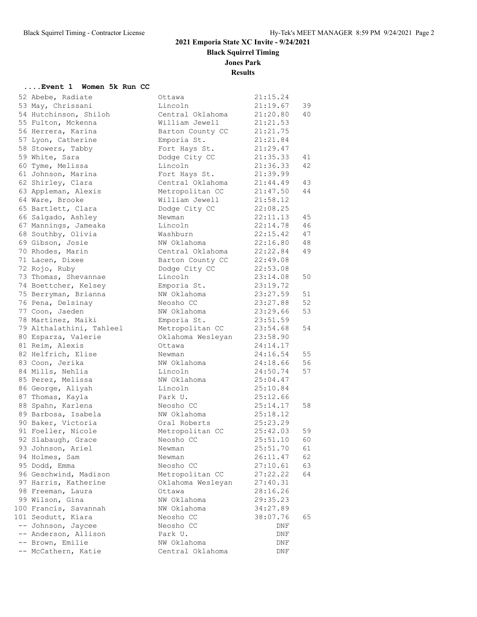**Black Squirrel Timing**

**Jones Park**

### **Results**

#### **....Event 1 Women 5k Run CC**

| 52 Abebe, Radiate        | Ottawa            | 21:15.24 |    |
|--------------------------|-------------------|----------|----|
| 53 May, Chrissani        | Lincoln           | 21:19.67 | 39 |
| 54 Hutchinson, Shiloh    | Central Oklahoma  | 21:20.80 | 40 |
| 55 Fulton, Mckenna       | William Jewell    | 21:21.53 |    |
| 56 Herrera, Karina       | Barton County CC  | 21:21.75 |    |
| 57 Lyon, Catherine       | Emporia St.       | 21:21.84 |    |
| 58 Stowers, Tabby        | Fort Hays St.     | 21:29.47 |    |
| 59 White, Sara           | Dodge City CC     | 21:35.33 | 41 |
| 60 Tyme, Melissa         | Lincoln           | 21:36.33 | 42 |
| 61 Johnson, Marina       | Fort Hays St.     | 21:39.99 |    |
| 62 Shirley, Clara        | Central Oklahoma  | 21:44.49 | 43 |
| 63 Appleman, Alexis      | Metropolitan CC   | 21:47.50 | 44 |
| 64 Ware, Brooke          | William Jewell    | 21:58.12 |    |
| 65 Bartlett, Clara       | Dodge City CC     | 22:08.25 |    |
| 66 Salgado, Ashley       | Newman            | 22:11.13 | 45 |
| 67 Mannings, Jameaka     | Lincoln           | 22:14.78 | 46 |
| 68 Southby, Olivia       | Washburn          | 22:15.42 | 47 |
| 69 Gibson, Josie         | NW Oklahoma       | 22:16.80 | 48 |
| 70 Rhodes, Marin         | Central Oklahoma  | 22:22.84 | 49 |
| 71 Lacen, Dixee          | Barton County CC  | 22:49.08 |    |
| 72 Rojo, Ruby            | Dodge City CC     | 22:53.08 |    |
| 73 Thomas, Shevannae     | Lincoln           | 23:14.08 | 50 |
| 74 Boettcher, Kelsey     | Emporia St.       | 23:19.72 |    |
| 75 Berryman, Brianna     | NW Oklahoma       | 23:27.59 | 51 |
| 76 Pena, Delsinay        | Neosho CC         | 23:27.88 | 52 |
| 77 Coon, Jaeden          | NW Oklahoma       | 23:29.66 | 53 |
| 78 Martinez, Maiki       | Emporia St.       | 23:51.59 |    |
| 79 Althalathini, Tahleel | Metropolitan CC   | 23:54.68 | 54 |
| 80 Esparza, Valerie      | Oklahoma Wesleyan | 23:58.90 |    |
| 81 Reim, Alexis          | Ottawa            | 24:14.17 |    |
| 82 Helfrich, Elise       | Newman            | 24:16.54 | 55 |
| 83 Coon, Jerika          | NW Oklahoma       | 24:18.66 | 56 |
| 84 Mills, Nehlia         | Lincoln           | 24:50.74 | 57 |
| 85 Perez, Melissa        | NW Oklahoma       | 25:04.47 |    |
| 86 George, Aliyah        | Lincoln           | 25:10.84 |    |
| 87 Thomas, Kayla         | Park U.           | 25:12.66 |    |
| 88 Spahn, Karlena        | Neosho CC         | 25:14.17 | 58 |
| 89 Barbosa, Isabela      | NW Oklahoma       | 25:18.12 |    |
| 90 Baker, Victoria       | Oral Roberts      | 25:23.29 |    |
| 91 Foeller, Nicole       | Metropolitan CC   | 25:42.03 | 59 |
| 92 Slabaugh, Grace       | Neosho CC         | 25:51.10 | 60 |
| 93 Johnson, Ariel        | Newman            | 25:51.70 | 61 |
| 94 Holmes, Sam           | Newman            | 26:11.47 | 62 |
| 95 Dodd, Emma            | Neosho CC         | 27:10.61 | 63 |
| 96 Geschwind, Madison    | Metropolitan CC   | 27:22.22 | 64 |
| 97 Harris, Katherine     | Oklahoma Wesleyan | 27:40.31 |    |
| 98 Freeman, Laura        | Ottawa            | 28:16.26 |    |
| 99 Wilson, Gina          | NW Oklahoma       | 29:35.23 |    |
| 100 Francis, Savannah    | NW Oklahoma       | 34:27.89 |    |
| 101 Seodutt, Kiara       | Neosho CC         | 38:07.76 | 65 |
| -- Johnson, Jaycee       | Neosho CC         | DNF      |    |
| -- Anderson, Allison     | Park U.           | DNF      |    |
| -- Brown, Emilie         | NW Oklahoma       | DNF      |    |
| -- McCathern, Katie      | Central Oklahoma  | DNF      |    |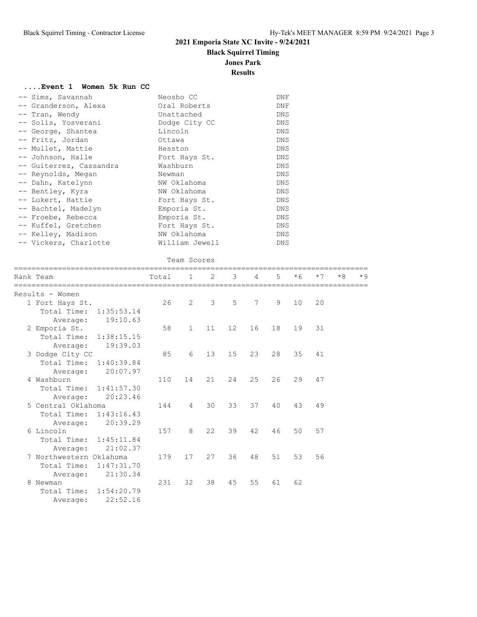**Black Squirrel Timing**

**Jones Park**

**Results**

| Event 1 Women 5k Run CC |  |  |  |
|-------------------------|--|--|--|
|-------------------------|--|--|--|

| -- Sims, Savannah       | Neosho CC      | DNF        |
|-------------------------|----------------|------------|
| -- Granderson, Alexa    | Oral Roberts   | DNF        |
| -- Tran, Wendy          | Unattached     | DNS        |
| -- Solis, Yosverani     | Dodge City CC  | DNS        |
| -- George, Shantea      | Lincoln        | DNS        |
| -- Fritz, Jordan        | Ottawa         | DNS        |
| -- Mullet, Mattie       | Hesston        | <b>DNS</b> |
| -- Johnson, Halle       | Fort Hays St.  | DNS        |
| -- Guiterrez, Cassandra | Washburn       | DNS        |
| -- Reynolds, Megan      | Newman         | DNS        |
| -- Dahn, Katelynn       | NW Oklahoma    | DNS        |
| -- Bentley, Kyra        | NW Oklahoma    | DNS        |
| -- Lukert, Hattie       | Fort Hays St.  | DNS        |
| -- Bachtel, Madelyn     | Emporia St.    | DNS        |
| -- Froebe, Rebecca      | Emporia St.    | DNS        |
| -- Kuffel, Gretchen     | Fort Hays St.  | <b>DNS</b> |
| -- Kelley, Madison      | NW Oklahoma    | DNS        |
| -- Vickers, Charlotte   | William Jewell | DNS.       |

### Team Scores

| Rank Team                 | Total | $\mathbf{1}$   | 2             | $\mathcal{B}$ | $\overline{4}$ | 5       | $*6$ | $*7$ | $*8$ | $*9$ |
|---------------------------|-------|----------------|---------------|---------------|----------------|---------|------|------|------|------|
| Results - Women           |       |                |               |               |                |         |      |      |      |      |
| 1 Fort Hays St.           | 26    | $\overline{2}$ | $\mathcal{E}$ | $5 -$         | 7              | $\circ$ | 10   | 20   |      |      |
| Total Time: 1:35:53.14    |       |                |               |               |                |         |      |      |      |      |
| 19:10.63<br>Average:      |       |                |               |               |                |         |      |      |      |      |
| 2 Emporia St.             | 58    | $\mathbf{1}$   | 11            | 12            | 16             | 18      | 19   | 31   |      |      |
| Total Time: 1:38:15.15    |       |                |               |               |                |         |      |      |      |      |
| 19:39.03<br>Average:      |       |                |               |               |                |         |      |      |      |      |
| 3 Dodge City CC           | 85    | 6              | 13            | 15            | 23             | 28      | 35   | 41   |      |      |
| Total Time: 1:40:39.84    |       |                |               |               |                |         |      |      |      |      |
| 20:07.97<br>Average:      |       |                |               |               |                |         |      |      |      |      |
| 4 Washburn                | 110   | 14             | 21            | 24            | 25             | 26      | 29   | 47   |      |      |
| Total Time: 1:41:57.30    |       |                |               |               |                |         |      |      |      |      |
| 20:23.46<br>Average:      |       |                |               |               |                |         |      |      |      |      |
| 5 Central Oklahoma        | 144   | $\overline{4}$ | 30            | 33            | 37             | 40      | 43   | 49   |      |      |
| Total Time: 1:43:16.43    |       |                |               |               |                |         |      |      |      |      |
| 20:39.29<br>Average:      |       |                |               |               |                |         |      |      |      |      |
| 6 Lincoln                 | 157   | 8              | 22            | 39            | 42             | 46      | 50   | 57   |      |      |
| Total Time: 1:45:11.84    |       |                |               |               |                |         |      |      |      |      |
| 21:02.37<br>Average:      |       |                |               |               |                |         |      |      |      |      |
| 7 Northwestern Oklahoma   | 179   | 17             | 27            | 36            | 48             | 51      | 53   | 56   |      |      |
| 1:47:31.70<br>Total Time: |       |                |               |               |                |         |      |      |      |      |
| 21:30.34<br>Average:      |       |                |               |               |                |         |      |      |      |      |
| 8 Newman                  | 231   | 32             | 38            | 45            | 55             | 61      | 62   |      |      |      |
| Total Time: 1:54:20.79    |       |                |               |               |                |         |      |      |      |      |
| 22:52.16<br>Average:      |       |                |               |               |                |         |      |      |      |      |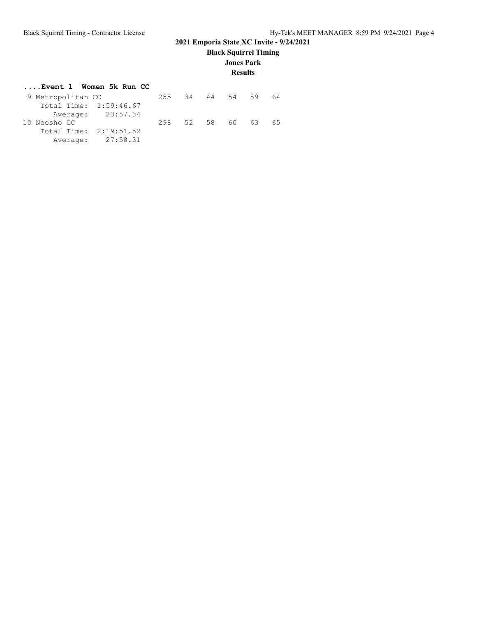**Black Squirrel Timing**

**Jones Park**

### **Results**

|  | Event 1 Women 5k Run CC |  |  |  |
|--|-------------------------|--|--|--|
|  |                         |  |  |  |

| 9 Metropolitan CC      |                   |     | 255 34 | 44    | 54  | 59  | 64  |
|------------------------|-------------------|-----|--------|-------|-----|-----|-----|
| Total Time: 1:59:46.67 |                   |     |        |       |     |     |     |
|                        | Average: 23:57.34 |     |        |       |     |     |     |
| 10 Neosho CC           |                   | 298 |        | 52 58 | 60. | 63. | 65. |
| Total Time: 2:19:51.52 |                   |     |        |       |     |     |     |
|                        | Average: 27:58.31 |     |        |       |     |     |     |
|                        |                   |     |        |       |     |     |     |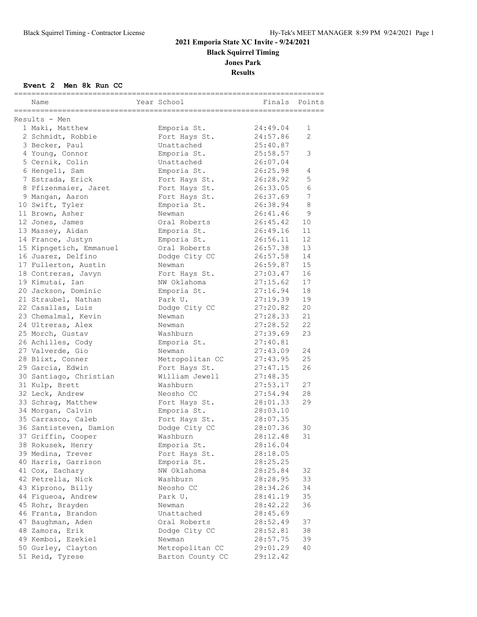## **2021 Emporia State XC Invite - 9/24/2021 Black Squirrel Timing Jones Park**

**Results**

### **Event 2 Men 8k Run CC**

| Name                             | Year School      | -----------------------<br>Finals | Points         |
|----------------------------------|------------------|-----------------------------------|----------------|
|                                  |                  |                                   |                |
| Results - Men<br>1 Maki, Matthew | Emporia St.      | 24:49.04                          | 1              |
| 2 Schmidt, Robbie                | Fort Hays St.    | 24:57.86                          | $\mathfrak{D}$ |
| 3 Becker, Paul                   | Unattached       | 25:40.87                          |                |
| 4 Young, Connor                  | Emporia St.      | 25:58.57                          | 3              |
| 5 Cernik, Colin                  | Unattached       | 26:07.04                          |                |
| 6 Hengeli, Sam                   | Emporia St.      | 26:25.98                          | 4              |
| 7 Estrada, Erick                 | Fort Hays St.    | 26:28.92                          | 5              |
| 8 Pfizenmaier, Jaret             | Fort Hays St.    | 26:33.05                          | 6              |
| 9 Mangan, Aaron                  | Fort Hays St.    | 26:37.69                          | 7              |
| 10 Swift, Tyler                  | Emporia St.      | 26:38.94                          | 8              |
| 11 Brown, Asher                  | Newman           | 26:41.46                          | 9              |
| 12 Jones, James                  | Oral Roberts     | 26:45.42                          | 10             |
| 13 Massey, Aidan                 | Emporia St.      | 26:49.16                          | 11             |
| 14 France, Justyn                | Emporia St.      | 26:56.11                          | 12             |
| 15 Kipngetich, Emmanuel          | Oral Roberts     | 26:57.38                          | 13             |
| 16 Juarez, Delfino               | Dodge City CC    | 26:57.58                          | 14             |
| 17 Fullerton, Austin             | Newman           | 26:59.87                          | 15             |
| 18 Contreras, Javyn              | Fort Hays St.    | 27:03.47                          | 16             |
| 19 Kimutai, Ian                  | NW Oklahoma      | 27:15.62                          | 17             |
| 20 Jackson, Dominic              | Emporia St.      | 27:16.94                          | 18             |
| 21 Straubel, Nathan              | Park U.          | 27:19.39                          | 19             |
| 22 Casallas, Luis                | Dodge City CC    | 27:20.82                          | 20             |
| 23 Chemalmal, Kevin              | Newman           | 27:28.33                          | 21             |
| 24 Ultreras, Alex                | Newman           | 27:28.52                          | 22             |
| 25 Morch, Gustav                 | Washburn         | 27:39.69                          | 23             |
| 26 Achilles, Cody                | Emporia St.      | 27:40.81                          |                |
| 27 Valverde, Gio                 | Newman           | 27:43.09                          | 24             |
| 28 Blixt, Conner                 | Metropolitan CC  | 27:43.95                          | 25             |
| 29 Garcia, Edwin                 | Fort Hays St.    | 27:47.15                          | 26             |
| 30 Santiago, Christian           | William Jewell   | 27:48.35                          |                |
| 31 Kulp, Brett                   | Washburn         | 27:53.17                          | 27             |
| 32 Leck, Andrew                  | Neosho CC        | 27:54.94                          | 28             |
| 33 Schrag, Matthew               | Fort Hays St.    | 28:01.33                          | 29             |
| 34 Morgan, Calvin                | Emporia St.      | 28:03.10                          |                |
| 35 Carrasco, Caleb               | Fort Hays St.    | 28:07.35                          |                |
| 36 Santisteven, Damion           | Dodge City CC    | 28:07.36                          | 30             |
| 37 Griffin, Cooper               | Washburn         | 28:12.48                          | 31             |
| 38 Rokusek, Henry                | Emporia St.      | 28:16.04                          |                |
| 39 Medina, Trever                | Fort Hays St.    | 28:18.05                          |                |
| 40 Harris, Garrison              | Emporia St.      | 28:25.25                          |                |
| 41 Cox, Zachary                  | NW Oklahoma      | 28:25.84                          | 32             |
| 42 Petrella, Nick                | Washburn         | 28:28.95                          | 33             |
| 43 Kiprono, Billy                | Neosho CC        | 28:34.26                          | 34             |
| 44 Figueoa, Andrew               | Park U.          | 28:41.19                          | 35             |
| 45 Rohr, Brayden                 | Newman           | 28:42.22                          | 36             |
| 46 Franta, Brandon               | Unattached       | 28:45.69                          |                |
| 47 Baughman, Aden                | Oral Roberts     | 28:52.49                          | 37             |
| 48 Zamora, Erik                  | Dodge City CC    | 28:52.81                          | 38             |
| 49 Kemboi, Ezekiel               | Newman           | 28:57.75                          | 39             |
| 50 Gurley, Clayton               | Metropolitan CC  | 29:01.29                          | 40             |
| 51 Reid, Tyrese                  | Barton County CC | 29:12.42                          |                |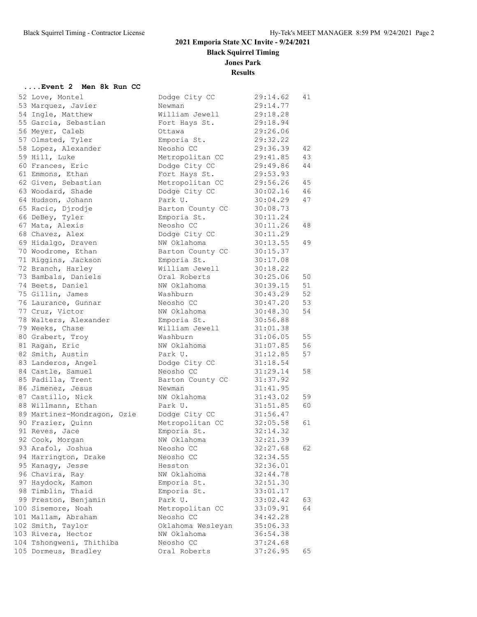**Black Squirrel Timing**

**Jones Park**

**Results**

### **....Event 2 Men 8k Run CC**

| 52 Love, Montel             | Dodge City CC            | 29:14.62 | 41 |
|-----------------------------|--------------------------|----------|----|
| 53 Marquez, Javier          | Newman                   | 29:14.77 |    |
| 54 Ingle, Matthew           | William Jewell           | 29:18.28 |    |
| 55 Garcia, Sebastian        | Fort Hays St.            | 29:18.94 |    |
| 56 Meyer, Caleb             | Ottawa                   | 29:26.06 |    |
| 57 Olmsted, Tyler           | Emporia St.              | 29:32.22 |    |
| 58 Lopez, Alexander         | Neosho CC                | 29:36.39 | 42 |
| 59 Hill, Luke               | Metropolitan CC          | 29:41.85 | 43 |
| 60 Frances, Eric            | Dodge City CC            | 29:49.86 | 44 |
| 61 Emmons, Ethan            | Fort Hays St.            | 29:53.93 |    |
| 62 Given, Sebastian         | Metropolitan CC          | 29:56.26 | 45 |
| 63 Woodard, Shade           | Dodge City CC            | 30:02.16 | 46 |
| 64 Hudson, Johann           | Park U.                  | 30:04.29 | 47 |
| 65 Racic, Djrodje           | Barton County CC         | 30:08.73 |    |
| 66 DeBey, Tyler             | Emporia St.              | 30:11.24 |    |
| 67 Mata, Alexis             | Neosho CC                | 30:11.26 | 48 |
| 68 Chavez, Alex             | Dodge City CC            | 30:11.29 |    |
| 69 Hidalgo, Draven          | NW Oklahoma              | 30:13.55 | 49 |
| 70 Woodrome, Ethan          | Barton County CC         | 30:15.37 |    |
| 71 Riggins, Jackson         | Emporia St.              | 30:17.08 |    |
| 72 Branch, Harley           | William Jewell           | 30:18.22 |    |
| 73 Bambals, Daniels         | Oral Roberts             | 30:25.06 | 50 |
| 74 Beets, Daniel            | NW Oklahoma              | 30:39.15 | 51 |
| 75 Gillin, James            | Washburn                 | 30:43.29 | 52 |
| 76 Laurance, Gunnar         | Neosho CC                | 30:47.20 | 53 |
| 77 Cruz, Victor             | NW Oklahoma              | 30:48.30 | 54 |
| 78 Walters, Alexander       | Emporia St.              | 30:56.88 |    |
| 79 Weeks, Chase             | William Jewell           | 31:01.38 |    |
| 80 Grabert, Troy            | Washburn                 | 31:06.05 | 55 |
| 81 Ragan, Eric              | NW Oklahoma              | 31:07.85 | 56 |
| 82 Smith, Austin            | Park U.                  | 31:12.85 | 57 |
| 83 Landeros, Angel          | Dodge City CC            | 31:18.54 |    |
| 84 Castle, Samuel           | Neosho CC                | 31:29.14 | 58 |
| 85 Padilla, Trent           | Barton County CC         | 31:37.92 |    |
| 86 Jimenez, Jesus           | Newman                   | 31:41.95 |    |
| 87 Castillo, Nick           | NW Oklahoma              | 31:43.02 | 59 |
| 88 Willmann, Ethan          | Park U.                  | 31:51.85 | 60 |
| 89 Martinez-Mondragon, Ozie | Dodge City CC            | 31:56.47 |    |
| 90 Frazier, Quinn           | Metropolitan CC 32:05.58 |          | 61 |
| 91 Reves, Jace              | Emporia St.              | 32:14.32 |    |
| 92 Cook, Morgan             | NW Oklahoma              | 32:21.39 |    |
| 93 Arafol, Joshua           | Neosho CC                | 32:27.68 | 62 |
| 94 Harrington, Drake        | Neosho CC                | 32:34.55 |    |
| 95 Kanagy, Jesse            | Hesston                  | 32:36.01 |    |
| 96 Chavira, Ray             | NW Oklahoma              | 32:44.78 |    |
| 97 Haydock, Kamon           | Emporia St.              | 32:51.30 |    |
| 98 Timblin, Thaid           | Emporia St.              | 33:01.17 |    |
| 99 Preston, Benjamin        | Park U.                  | 33:02.42 | 63 |
| 100 Sisemore, Noah          | Metropolitan CC          | 33:09.91 | 64 |
| 101 Mallam, Abraham         | Neosho CC                | 34:42.28 |    |
| 102 Smith, Taylor           | Oklahoma Wesleyan        | 35:06.33 |    |
| 103 Rivera, Hector          | NW Oklahoma              | 36:54.38 |    |
| 104 Tshongweni, Thithiba    | Neosho CC                | 37:24.68 |    |
| 105 Dormeus, Bradley        | Oral Roberts             | 37:26.95 | 65 |
|                             |                          |          |    |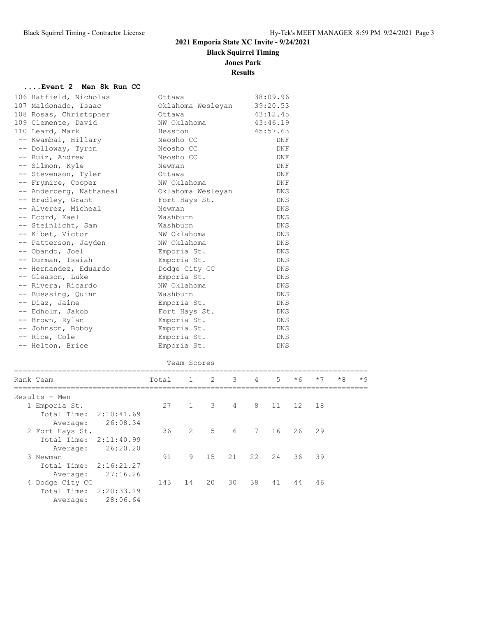**Black Squirrel Timing**

**Jones Park**

### **Results**

# **....Event 2 Men 8k Run CC**<br>106 Untfield Nightles

| 106 Hatfield, Nicholas  | Ottawa            | 38:09.96   |
|-------------------------|-------------------|------------|
| 107 Maldonado, Isaac    | Oklahoma Wesleyan | 39:20.53   |
| 108 Rosas, Christopher  | Ottawa            | 43:12.45   |
| 109 Clemente, David     | NW Oklahoma       | 43:46.19   |
| 110 Leard, Mark         | Hesston           | 45:57.63   |
| -- Kwambai, Hillary     | Neosho CC         | DNF        |
| -- Dolloway, Tyron      | Neosho CC         | DNF        |
| -- Ruiz, Andrew         | Neosho CC         | DNF        |
| -- Silmon, Kyle         | Newman            | DNF        |
| -- Stevenson, Tyler     | Ottawa            | DNF        |
| -- Frymire, Cooper      | NW Oklahoma       | DNF        |
| -- Anderberg, Nathaneal | Oklahoma Wesleyan | <b>DNS</b> |
| -- Bradley, Grant       | Fort Hays St.     | <b>DNS</b> |
| -- Alverez, Micheal     | Newman            | DNS.       |
| -- Ecord, Kael          | Washburn          | <b>DNS</b> |
| -- Steinlicht, Sam      | Washburn          | <b>DNS</b> |
| -- Kibet, Victor        | NW Oklahoma       | DNS        |
| -- Patterson, Jayden    | NW Oklahoma       | <b>DNS</b> |
| -- Obando, Joel         | Emporia St.       | DNS        |
| -- Durman, Isaiah       | Emporia St.       | <b>DNS</b> |
| -- Hernandez, Eduardo   | Dodge City CC     | <b>DNS</b> |
| -- Gleason, Luke        | Emporia St.       | <b>DNS</b> |
| -- Rivera, Ricardo      | NW Oklahoma       | DNS        |
| -- Buessing, Quinn      | Washburn          | <b>DNS</b> |
| -- Diaz, Jaime          | Emporia St.       | DNS        |
| -- Edholm, Jakob        | Fort Hays St.     | DNS        |
| -- Brown, Rylan         | Emporia St.       | <b>DNS</b> |
| -- Johnson, Bobby       | Emporia St.       | <b>DNS</b> |
| -- Rice, Cole           | Emporia St.       | DNS        |
| -- Helton, Brice        | Emporia St.       | <b>DNS</b> |

|  | Team Scores |
|--|-------------|
|  |             |

| Total |    |                | 3                          |             | $5 -$                    | $*6$ | $*7$ | $*8$                 | $*9$ |
|-------|----|----------------|----------------------------|-------------|--------------------------|------|------|----------------------|------|
|       |    |                |                            |             |                          |      |      |                      |      |
| 27    |    |                | $\overline{4}$             | 8           |                          |      |      |                      |      |
|       |    |                |                            |             |                          |      |      |                      |      |
|       |    |                |                            |             |                          |      |      |                      |      |
| 36    | 2  |                |                            | $7^{\circ}$ | 16                       | 26   |      |                      |      |
|       |    |                |                            |             |                          |      |      |                      |      |
|       |    |                |                            |             |                          |      |      |                      |      |
| 91    | 9  | 15             |                            |             | 24                       | 36   |      |                      |      |
|       |    |                |                            |             |                          |      |      |                      |      |
|       |    |                |                            |             |                          |      |      |                      |      |
| 143   | 14 | 20             | 30                         | 38          | 41                       | 44   | 46   |                      |      |
|       |    |                |                            |             |                          |      |      |                      |      |
|       |    |                |                            |             |                          |      |      |                      |      |
|       |    | $\overline{1}$ | $1 \t 2$<br>$\overline{3}$ | 5 6         | $4\overline{4}$<br>21 22 |      |      | 11 12 18<br>29<br>39 |      |